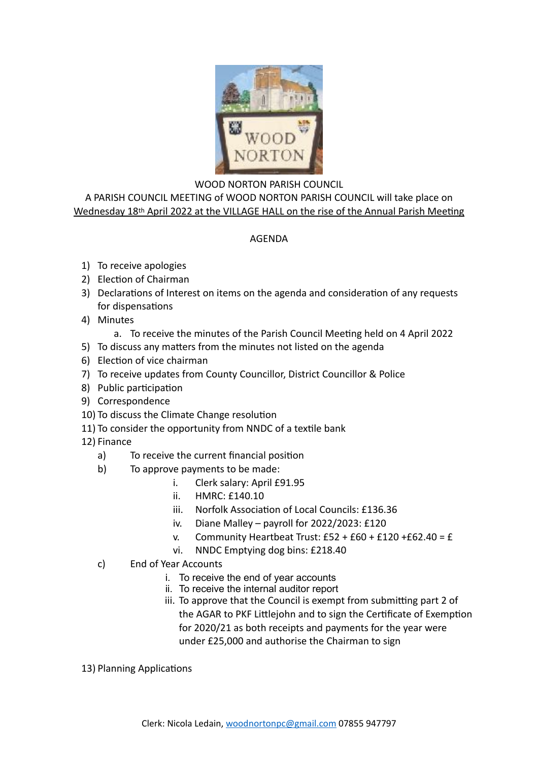

## WOOD NORTON PARISH COUNCIL

A PARISH COUNCIL MEETING of WOOD NORTON PARISH COUNCIL will take place on Wednesday 18th April 2022 at the VILLAGE HALL on the rise of the Annual Parish Meeting

## AGENDA

- 1) To receive apologies
- 2) Election of Chairman
- 3) Declarations of Interest on items on the agenda and consideration of any requests for dispensations
- 4) Minutes
	- a. To receive the minutes of the Parish Council Meeting held on 4 April 2022
- 5) To discuss any matters from the minutes not listed on the agenda
- 6) Election of vice chairman
- 7) To receive updates from County Councillor, District Councillor & Police
- 8) Public participation
- 9) Correspondence
- 10) To discuss the Climate Change resolution
- 11) To consider the opportunity from NNDC of a textile bank
- 12) Finance
	- a) To receive the current financial position
	- b) To approve payments to be made:
		- i. Clerk salary: April £91.95
		- ii. HMRC: £140.10
		- iii. Norfolk Association of Local Councils: £136.36
		- iv. Diane Malley payroll for 2022/2023: £120
		- v. Community Heartbeat Trust:  $£52 + £60 + £120 + £62.40 = £$
		- vi. NNDC Emptying dog bins: £218.40
	- c) End of Year Accounts
		- i. To receive the end of year accounts
		- ii. To receive the internal auditor report
		- iii. To approve that the Council is exempt from submitting part 2 of the AGAR to PKF Littlejohn and to sign the Certificate of Exemption for 2020/21 as both receipts and payments for the year were under £25,000 and authorise the Chairman to sign
- 13) Planning Applications